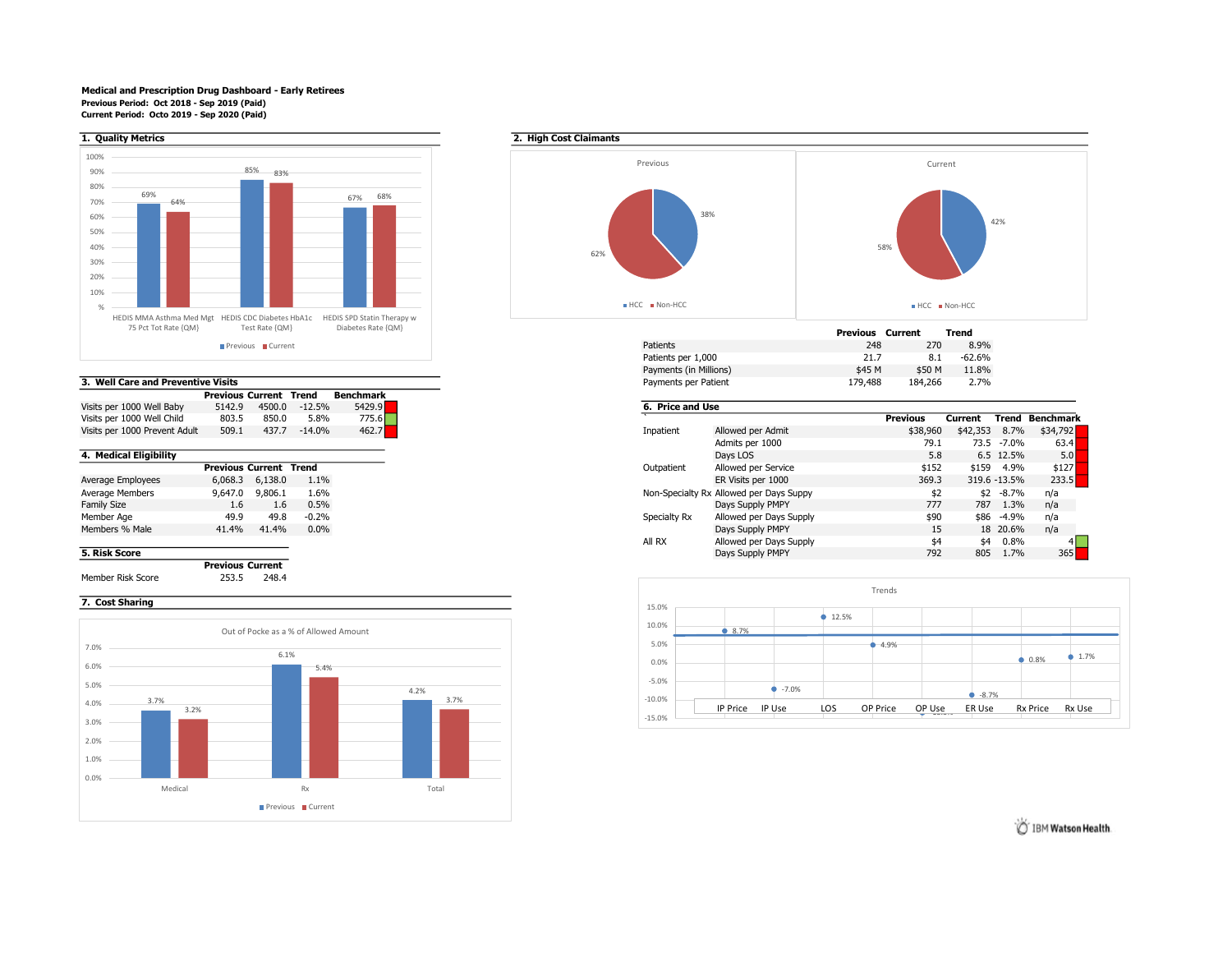### Medical and Prescription Drug Dashboard - Early Retirees Previous Period: Oct 2018 - Sep 2019 (Paid) Current Period: Octo 2019 - Sep 2020 (Paid)



### 3. Well Care and Preventive Visits

|                               |        | <b>Previous Current Trend</b> |          | <b>Benchmark</b> |
|-------------------------------|--------|-------------------------------|----------|------------------|
| Visits per 1000 Well Baby     | 5142.9 | 4500.0                        | $-12.5%$ | 5429.9           |
| Visits per 1000 Well Child    | 803.5  | 850.0                         | 5.8%     | 775.6            |
| Visits per 1000 Prevent Adult | 509.1  | 437.7                         | $-14.0%$ | 462.7            |

|                    |         | <b>Previous Current Trend</b> |         |
|--------------------|---------|-------------------------------|---------|
| Average Employees  | 6,068.3 | 6,138.0                       | 1.1%    |
| Average Members    | 9,647.0 | 9.806.1                       | 1.6%    |
| <b>Family Size</b> | 1.6     | 1.6                           | 0.5%    |
| Member Age         | 49.9    | 49.8                          | $-0.2%$ |
| Members % Male     | 41.4%   | 41.4%                         | 0.0%    |
|                    |         |                               |         |

Previous Current Member Risk Score 253.5 248.4

# 7. Cost Sharing





|                        | Previous | Current | Trend    |
|------------------------|----------|---------|----------|
| <b>Patients</b>        | 248      | 270     | 8.9%     |
| Patients per 1,000     | 21.7     | 8.1     | $-62.6%$ |
| Payments (in Millions) | \$45 M   | \$50 M  | 11.8%    |
| Payments per Patient   | 179,488  | 184,266 | 2.7%     |

## 6. Price and Use Visits per 1000 Visits per 1000 Well Current Trend Benchmark<br>
11000 Mellowed per Admit 1000 States (\$18,960 \$42,353 8.7% \$34,792  $$38,960$   $$42,353$   $8.7\%$   $$34,792$ <br>79.1 73.5 -7.0% 63.4 Admits per 1000 79.1 73.5 -7.0% 63.4 **4. Medical Eligibility** 6.5 12.5% 5.0 5.0 5.2.5% 5.0 5.0 5.2.5% 5.0 5.2.5% 5.0 5.2.5% 5.0 5.2.5% 5.0 5.2.5% 5.0 5.2

| _____             |                               |         |         |
|-------------------|-------------------------------|---------|---------|
|                   | <b>Previous Current Trend</b> |         |         |
| Average Employees | 6,068.3                       | 6,138.0 | 1.1%    |
|                   | 9,647.0                       | 9,806.1 | 1.6%    |
| Family Size       | 1.6                           |         | 0.5%    |
| Member Age        | 49.9                          | 49.8    | $-0.2%$ |
| Members % Male    | 41.4%                         | 41.4%   | 0.0%    |
|                   |                               |         |         |
| 5. Risk Score     |                               |         |         |



IBM Watson Health